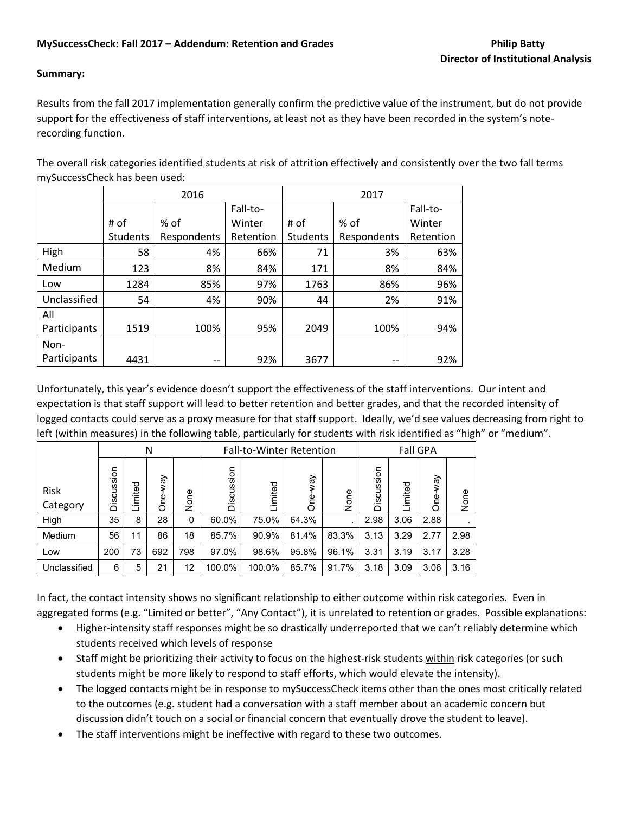## **Summary:**

Results from the fall 2017 implementation generally confirm the predictive value of the instrument, but do not provide support for the effectiveness of staff interventions, at least not as they have been recorded in the system's noterecording function.

The overall risk categories identified students at risk of attrition effectively and consistently over the two fall terms mySuccessCheck has been used:

|              | 2016            |             |           | 2017            |             |           |
|--------------|-----------------|-------------|-----------|-----------------|-------------|-----------|
|              |                 |             | Fall-to-  |                 |             | Fall-to-  |
|              | # of            | % of        | Winter    | # of            | $%$ of      | Winter    |
|              | <b>Students</b> | Respondents | Retention | <b>Students</b> | Respondents | Retention |
| High         | 58              | 4%          | 66%       | 71              | 3%          | 63%       |
| Medium       | 123             | 8%          | 84%       | 171             | 8%          | 84%       |
| Low          | 1284            | 85%         | 97%       | 1763            | 86%         | 96%       |
| Unclassified | 54              | 4%          | 90%       | 44              | 2%          | 91%       |
| All          |                 |             |           |                 |             |           |
| Participants | 1519            | 100%        | 95%       | 2049            | 100%        | 94%       |
| Non-         |                 |             |           |                 |             |           |
| Participants | 4431            | --          | 92%       | 3677            | --          | 92%       |

Unfortunately, this year's evidence doesn't support the effectiveness of the staff interventions. Our intent and expectation is that staff support will lead to better retention and better grades, and that the recorded intensity of logged contacts could serve as a proxy measure for that staff support. Ideally, we'd see values decreasing from right to left (within measures) in the following table, particularly for students with risk identified as "high" or "medium".

|                  | N             |        |               |      | <b>Fall-to-Winter Retention</b> |         |               |       |               |         | <b>Fall GPA</b> |      |
|------------------|---------------|--------|---------------|------|---------------------------------|---------|---------------|-------|---------------|---------|-----------------|------|
| Risk<br>Category | cussion<br>ěä | imited | Vay<br>Φ<br>Š | None | cussion<br>Š                    | Limited | Vew<br>ф<br>Ō | None  | cussion<br>ۊٞ | Limited | Vew<br>Φ<br>Š   | None |
| High             | 35            | 8      | 28            | 0    | 60.0%                           | 75.0%   | 64.3%         |       | 2.98          | 3.06    | 2.88            |      |
| Medium           | 56            | 11     | 86            | 18   | 85.7%                           | 90.9%   | 81.4%         | 83.3% | 3.13          | 3.29    | 2.77            | 2.98 |
| Low              | 200           | 73     | 692           | 798  | 97.0%                           | 98.6%   | 95.8%         | 96.1% | 3.31          | 3.19    | 3.17            | 3.28 |
| Unclassified     | 6             | 5      | 21            | 12   | 100.0%                          | 100.0%  | 85.7%         | 91.7% | 3.18          | 3.09    | 3.06            | 3.16 |

In fact, the contact intensity shows no significant relationship to either outcome within risk categories. Even in aggregated forms (e.g. "Limited or better", "Any Contact"), it is unrelated to retention or grades. Possible explanations:

- Higher-intensity staff responses might be so drastically underreported that we can't reliably determine which students received which levels of response
- Staff might be prioritizing their activity to focus on the highest-risk students within risk categories (or such students might be more likely to respond to staff efforts, which would elevate the intensity).
- The logged contacts might be in response to mySuccessCheck items other than the ones most critically related to the outcomes (e.g. student had a conversation with a staff member about an academic concern but discussion didn't touch on a social or financial concern that eventually drove the student to leave).
- The staff interventions might be ineffective with regard to these two outcomes.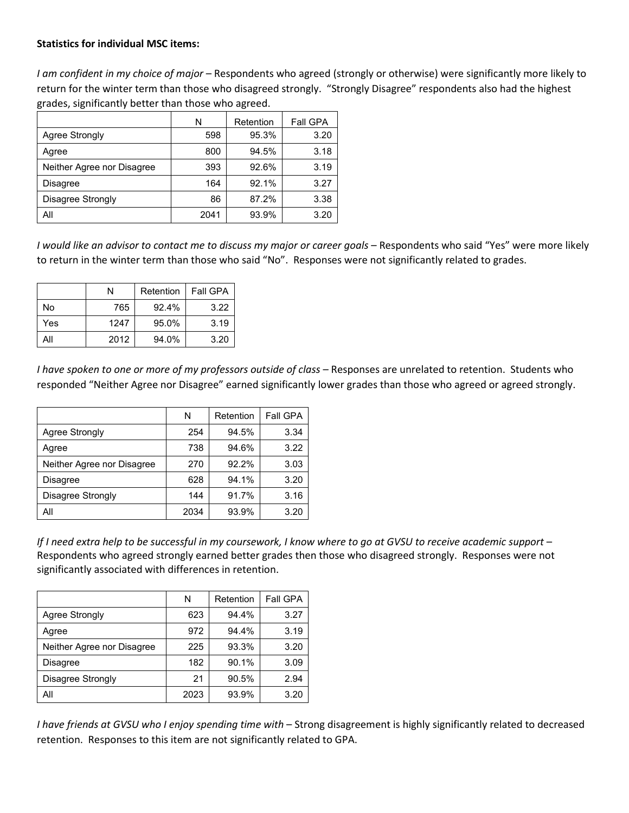*I am confident in my choice of major* – Respondents who agreed (strongly or otherwise) were significantly more likely to return for the winter term than those who disagreed strongly. "Strongly Disagree" respondents also had the highest grades, significantly better than those who agreed.

|                            | N    | Retention | <b>Fall GPA</b> |
|----------------------------|------|-----------|-----------------|
| Agree Strongly             | 598  | 95.3%     | 3.20            |
| Agree                      | 800  | 94.5%     | 3.18            |
| Neither Agree nor Disagree | 393  | 92.6%     | 3.19            |
| <b>Disagree</b>            | 164  | 92.1%     | 3.27            |
| Disagree Strongly          | 86   | 87.2%     | 3.38            |
| All                        | 2041 | 93.9%     | 3.20            |

*I would like an advisor to contact me to discuss my major or career goals* – Respondents who said "Yes" were more likely to return in the winter term than those who said "No". Responses were not significantly related to grades.

|     | Ν    | Retention | <b>Fall GPA</b> |
|-----|------|-----------|-----------------|
| No  | 765  | 92.4%     | 3.22            |
| Yes | 1247 | 95.0%     | 3.19            |
| All | 2012 | 94.0%     | 3.20            |

*I have spoken to one or more of my professors outside of class* – Responses are unrelated to retention. Students who responded "Neither Agree nor Disagree" earned significantly lower grades than those who agreed or agreed strongly.

|                            | N    | Retention | Fall GPA |
|----------------------------|------|-----------|----------|
| Agree Strongly             | 254  | 94.5%     | 3.34     |
| Agree                      | 738  | 94.6%     | 3.22     |
| Neither Agree nor Disagree | 270  | 92.2%     | 3.03     |
| <b>Disagree</b>            | 628  | 94.1%     | 3.20     |
| Disagree Strongly          | 144  | 91.7%     | 3.16     |
| All                        | 2034 | 93.9%     | 3.20     |

If I need extra help to be successful in my coursework, I know where to go at GVSU to receive academic support -Respondents who agreed strongly earned better grades then those who disagreed strongly. Responses were not significantly associated with differences in retention.

|                            | N    | Retention | <b>Fall GPA</b> |
|----------------------------|------|-----------|-----------------|
| Agree Strongly             | 623  | 94.4%     | 3.27            |
| Agree                      | 972  | 94.4%     | 3.19            |
| Neither Agree nor Disagree | 225  | 93.3%     | 3.20            |
| <b>Disagree</b>            | 182  | 90.1%     | 3.09            |
| Disagree Strongly          | 21   | 90.5%     | 2.94            |
| All                        | 2023 | 93.9%     | 3.20            |

*I have friends at GVSU who I enjoy spending time with* – Strong disagreement is highly significantly related to decreased retention. Responses to this item are not significantly related to GPA.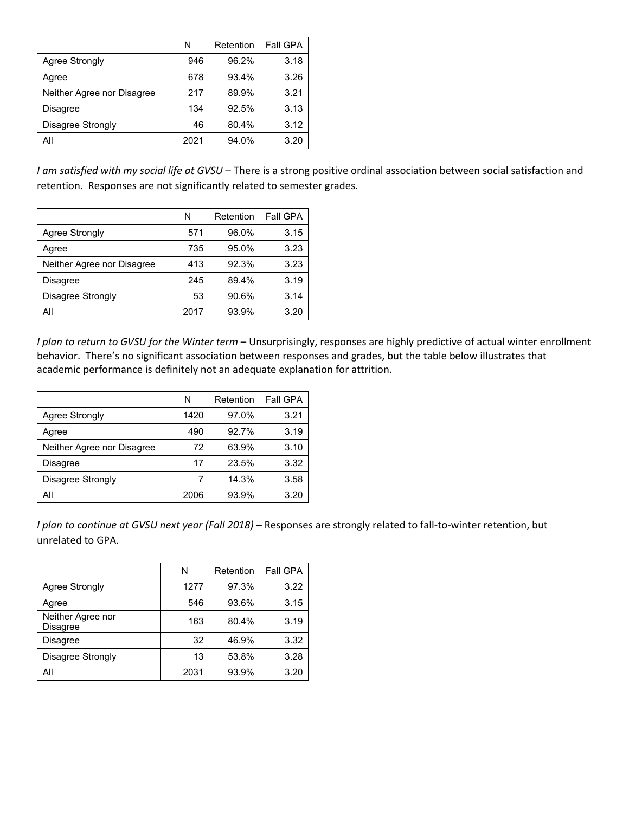|                            | N    | Retention | Fall GPA |
|----------------------------|------|-----------|----------|
| <b>Agree Strongly</b>      | 946  | 96.2%     | 3.18     |
| Agree                      | 678  | 93.4%     | 3.26     |
| Neither Agree nor Disagree | 217  | 89.9%     | 3.21     |
| <b>Disagree</b>            | 134  | 92.5%     | 3.13     |
| Disagree Strongly          | 46   | 80.4%     | 3.12     |
| All                        | 2021 | 94.0%     | 3.20     |

*I am satisfied with my social life at GVSU* – There is a strong positive ordinal association between social satisfaction and retention. Responses are not significantly related to semester grades.

|                            | N    | Retention | Fall GPA |
|----------------------------|------|-----------|----------|
| <b>Agree Strongly</b>      | 571  | 96.0%     | 3.15     |
| Agree                      | 735  | 95.0%     | 3.23     |
| Neither Agree nor Disagree | 413  | 92.3%     | 3.23     |
| <b>Disagree</b>            | 245  | 89.4%     | 3.19     |
| Disagree Strongly          | 53   | 90.6%     | 3.14     |
| All                        | 2017 | 93.9%     | 3.20     |

*I plan to return to GVSU for the Winter term* – Unsurprisingly, responses are highly predictive of actual winter enrollment behavior. There's no significant association between responses and grades, but the table below illustrates that academic performance is definitely not an adequate explanation for attrition.

|                            | N    | Retention | Fall GPA |
|----------------------------|------|-----------|----------|
| <b>Agree Strongly</b>      | 1420 | 97.0%     | 3.21     |
| Agree                      | 490  | 92.7%     | 3.19     |
| Neither Agree nor Disagree | 72   | 63.9%     | 3.10     |
| <b>Disagree</b>            | 17   | 23.5%     | 3.32     |
| Disagree Strongly          | 7    | 14.3%     | 3.58     |
| All                        | 2006 | 93.9%     | 3.20     |

*I plan to continue at GVSU next year (Fall 2018)* – Responses are strongly related to fall-to-winter retention, but unrelated to GPA.

|                               | N    | Retention | <b>Fall GPA</b> |
|-------------------------------|------|-----------|-----------------|
| <b>Agree Strongly</b>         | 1277 | 97.3%     | 3.22            |
| Agree                         | 546  | 93.6%     | 3.15            |
| Neither Agree nor<br>Disagree | 163  | 80.4%     | 3.19            |
| <b>Disagree</b>               | 32   | 46.9%     | 3.32            |
| Disagree Strongly             | 13   | 53.8%     | 3.28            |
| All                           | 2031 | 93.9%     | 3.20            |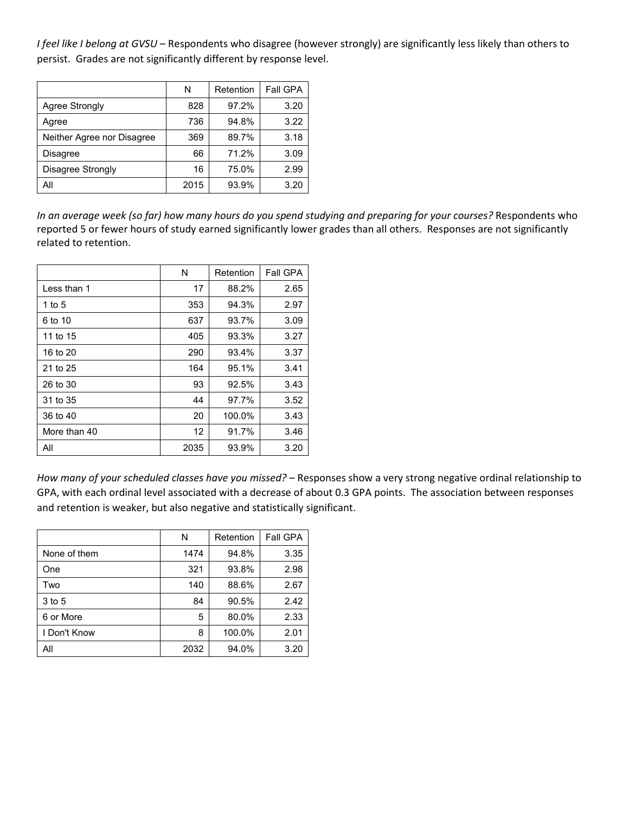*I feel like I belong at GVSU* – Respondents who disagree (however strongly) are significantly less likely than others to persist. Grades are not significantly different by response level.

|                            | N    | Retention | <b>Fall GPA</b> |
|----------------------------|------|-----------|-----------------|
| <b>Agree Strongly</b>      | 828  | 97.2%     | 3.20            |
| Agree                      | 736  | 94.8%     | 3.22            |
| Neither Agree nor Disagree | 369  | 89.7%     | 3.18            |
| <b>Disagree</b>            | 66   | 71.2%     | 3.09            |
| Disagree Strongly          | 16   | 75.0%     | 2.99            |
| All                        | 2015 | 93.9%     | 3.20            |

*In an average week (so far) how many hours do you spend studying and preparing for your courses?* Respondents who reported 5 or fewer hours of study earned significantly lower grades than all others. Responses are not significantly related to retention.

|              | N    | Retention | Fall GPA |
|--------------|------|-----------|----------|
| I ess than 1 | 17   | 88.2%     | 2.65     |
| 1 to 5       | 353  | 94.3%     | 2.97     |
| 6 to 10      | 637  | 93.7%     | 3.09     |
| 11 to 15     | 405  | 93.3%     | 3.27     |
| 16 to 20     | 290  | 93.4%     | 3.37     |
| 21 to 25     | 164  | 95.1%     | 3.41     |
| 26 to 30     | 93   | 92.5%     | 3.43     |
| 31 to 35     | 44   | 97.7%     | 3.52     |
| 36 to 40     | 20   | 100.0%    | 3.43     |
| More than 40 | 12   | 91.7%     | 3.46     |
| All          | 2035 | 93.9%     | 3.20     |

*How many of your scheduled classes have you missed?* – Responses show a very strong negative ordinal relationship to GPA, with each ordinal level associated with a decrease of about 0.3 GPA points. The association between responses and retention is weaker, but also negative and statistically significant.

|              | N    | Retention | Fall GPA |
|--------------|------|-----------|----------|
| None of them | 1474 | 94.8%     | 3.35     |
| One          | 321  | 93.8%     | 2.98     |
| Two          | 140  | 88.6%     | 2.67     |
| $3$ to 5     | 84   | 90.5%     | 2.42     |
| 6 or More    | 5    | 80.0%     | 2.33     |
| I Don't Know | 8    | 100.0%    | 2.01     |
| All          | 2032 | 94.0%     | 3.20     |